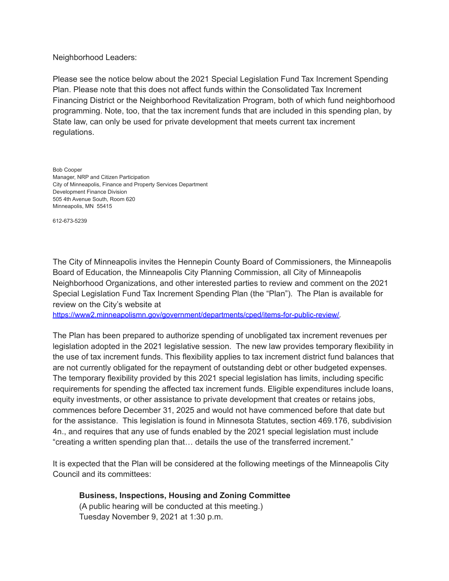Neighborhood Leaders:

Please see the notice below about the 2021 Special Legislation Fund Tax Increment Spending Plan. Please note that this does not affect funds within the Consolidated Tax Increment Financing District or the Neighborhood Revitalization Program, both of which fund neighborhood programming. Note, too, that the tax increment funds that are included in this spending plan, by State law, can only be used for private development that meets current tax increment regulations.

Bob Cooper Manager, NRP and Citizen Participation City of Minneapolis, Finance and Property Services Department Development Finance Division 505 4th Avenue South, Room 620 Minneapolis, MN 55415

612-673-5239

The City of Minneapolis invites the Hennepin County Board of Commissioners, the Minneapolis Board of Education, the Minneapolis City Planning Commission, all City of Minneapolis Neighborhood Organizations, and other interested parties to review and comment on the 2021 Special Legislation Fund Tax Increment Spending Plan (the "Plan"). The Plan is available for review on the City's website at

[https://www2.minneapolismn.gov/government/departments/cped/items-for-public-review/.](https://www2.minneapolismn.gov/government/departments/cped/items-for-public-review/)

The Plan has been prepared to authorize spending of unobligated tax increment revenues per legislation adopted in the 2021 legislative session. The new law provides temporary flexibility in the use of tax increment funds. This flexibility applies to tax increment district fund balances that are not currently obligated for the repayment of outstanding debt or other budgeted expenses. The temporary flexibility provided by this 2021 special legislation has limits, including specific requirements for spending the affected tax increment funds. Eligible expenditures include loans, equity investments, or other assistance to private development that creates or retains jobs, commences before December 31, 2025 and would not have commenced before that date but for the assistance. This legislation is found in Minnesota Statutes, section 469.176, subdivision 4n., and requires that any use of funds enabled by the 2021 special legislation must include "creating a written spending plan that… details the use of the transferred increment."

It is expected that the Plan will be considered at the following meetings of the Minneapolis City Council and its committees:

**Business, Inspections, Housing and Zoning Committee** (A public hearing will be conducted at this meeting.) Tuesday November 9, 2021 at 1:30 p.m.